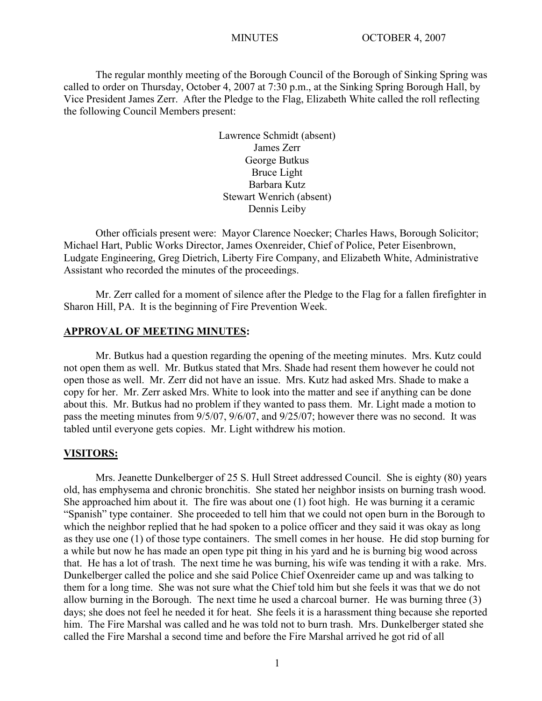The regular monthly meeting of the Borough Council of the Borough of Sinking Spring was called to order on Thursday, October 4, 2007 at 7:30 p.m., at the Sinking Spring Borough Hall, by Vice President James Zerr. After the Pledge to the Flag, Elizabeth White called the roll reflecting the following Council Members present:

> Lawrence Schmidt (absent) James Zerr George Butkus Bruce Light Barbara Kutz Stewart Wenrich (absent) Dennis Leiby

Other officials present were: Mayor Clarence Noecker; Charles Haws, Borough Solicitor; Michael Hart, Public Works Director, James Oxenreider, Chief of Police, Peter Eisenbrown, Ludgate Engineering, Greg Dietrich, Liberty Fire Company, and Elizabeth White, Administrative Assistant who recorded the minutes of the proceedings.

Mr. Zerr called for a moment of silence after the Pledge to the Flag for a fallen firefighter in Sharon Hill, PA. It is the beginning of Fire Prevention Week.

#### **APPROVAL OF MEETING MINUTES:**

Mr. Butkus had a question regarding the opening of the meeting minutes. Mrs. Kutz could not open them as well. Mr. Butkus stated that Mrs. Shade had resent them however he could not open those as well. Mr. Zerr did not have an issue. Mrs. Kutz had asked Mrs. Shade to make a copy for her. Mr. Zerr asked Mrs. White to look into the matter and see if anything can be done about this. Mr. Butkus had no problem if they wanted to pass them. Mr. Light made a motion to pass the meeting minutes from 9/5/07, 9/6/07, and 9/25/07; however there was no second. It was tabled until everyone gets copies. Mr. Light withdrew his motion.

#### **VISITORS:**

Mrs. Jeanette Dunkelberger of 25 S. Hull Street addressed Council. She is eighty (80) years old, has emphysema and chronic bronchitis. She stated her neighbor insists on burning trash wood. She approached him about it. The fire was about one (1) foot high. He was burning it a ceramic "Spanish" type container. She proceeded to tell him that we could not open burn in the Borough to which the neighbor replied that he had spoken to a police officer and they said it was okay as long as they use one (1) of those type containers. The smell comes in her house. He did stop burning for a while but now he has made an open type pit thing in his yard and he is burning big wood across that. He has a lot of trash. The next time he was burning, his wife was tending it with a rake. Mrs. Dunkelberger called the police and she said Police Chief Oxenreider came up and was talking to them for a long time. She was not sure what the Chief told him but she feels it was that we do not allow burning in the Borough. The next time he used a charcoal burner. He was burning three (3) days; she does not feel he needed it for heat. She feels it is a harassment thing because she reported him. The Fire Marshal was called and he was told not to burn trash. Mrs. Dunkelberger stated she called the Fire Marshal a second time and before the Fire Marshal arrived he got rid of all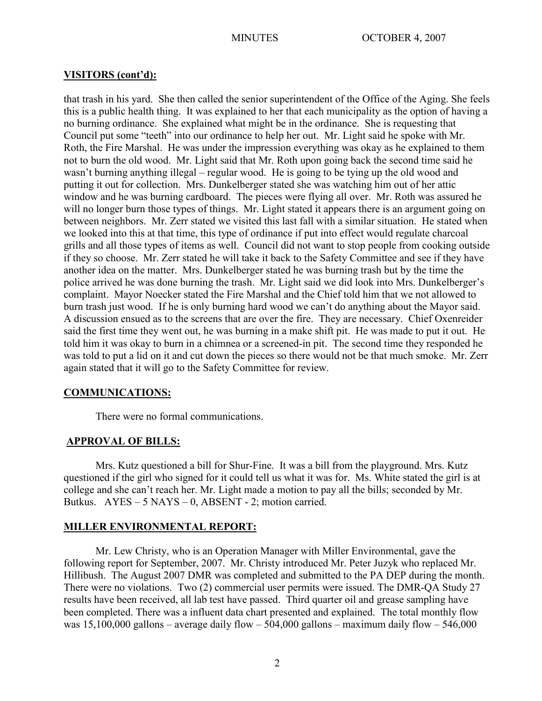## **VISITORS (cont'd):**

that trash in his yard. She then called the senior superintendent of the Office of the Aging. She feels this is a public health thing. It was explained to her that each municipality as the option of having a no burning ordinance. She explained what might be in the ordinance. She is requesting that Council put some "teeth" into our ordinance to help her out. Mr. Light said he spoke with Mr. Roth, the Fire Marshal. He was under the impression everything was okay as he explained to them not to burn the old wood. Mr. Light said that Mr. Roth upon going back the second time said he wasn't burning anything illegal – regular wood. He is going to be tying up the old wood and putting it out for collection. Mrs. Dunkelberger stated she was watching him out of her attic window and he was burning cardboard. The pieces were flying all over. Mr. Roth was assured he will no longer burn those types of things. Mr. Light stated it appears there is an argument going on between neighbors. Mr. Zerr stated we visited this last fall with a similar situation. He stated when we looked into this at that time, this type of ordinance if put into effect would regulate charcoal grills and all those types of items as well. Council did not want to stop people from cooking outside if they so choose. Mr. Zerr stated he will take it back to the Safety Committee and see if they have another idea on the matter. Mrs. Dunkelberger stated he was burning trash but by the time the police arrived he was done burning the trash. Mr. Light said we did look into Mrs. Dunkelberger's complaint. Mayor Noecker stated the Fire Marshal and the Chief told him that we not allowed to burn trash just wood. If he is only burning hard wood we can't do anything about the Mayor said. A discussion ensued as to the screens that are over the fire. They are necessary. Chief Oxenreider said the first time they went out, he was burning in a make shift pit. He was made to put it out. He told him it was okay to burn in a chimnea or a screened-in pit. The second time they responded he was told to put a lid on it and cut down the pieces so there would not be that much smoke. Mr. Zerr again stated that it will go to the Safety Committee for review.

## **COMMUNICATIONS:**

There were no formal communications.

#### **APPROVAL OF BILLS:**

Mrs. Kutz questioned a bill for Shur-Fine. It was a bill from the playground. Mrs. Kutz questioned if the girl who signed for it could tell us what it was for. Ms. White stated the girl is at college and she can't reach her. Mr. Light made a motion to pay all the bills; seconded by Mr. Butkus. AYES – 5 NAYS – 0, ABSENT - 2; motion carried.

#### **MILLER ENVIRONMENTAL REPORT:**

Mr. Lew Christy, who is an Operation Manager with Miller Environmental, gave the following report for September, 2007. Mr. Christy introduced Mr. Peter Juzyk who replaced Mr. Hillibush. The August 2007 DMR was completed and submitted to the PA DEP during the month. There were no violations. Two (2) commercial user permits were issued. The DMR-QA Study 27 results have been received, all lab test have passed. Third quarter oil and grease sampling have been completed. There was a influent data chart presented and explained. The total monthly flow was  $15,100,000$  gallons – average daily flow – 504,000 gallons – maximum daily flow – 546,000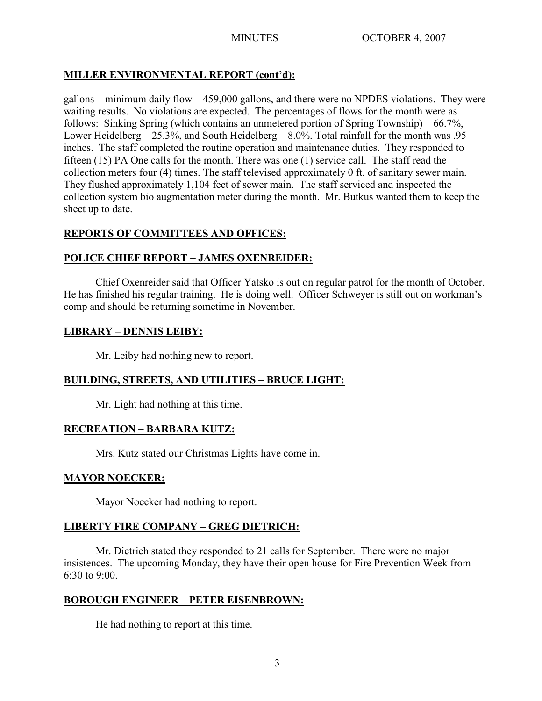## **MILLER ENVIRONMENTAL REPORT (cont'd):**

gallons – minimum daily flow  $-459,000$  gallons, and there were no NPDES violations. They were waiting results. No violations are expected. The percentages of flows for the month were as follows: Sinking Spring (which contains an unmetered portion of Spring Township) – 66.7%, Lower Heidelberg – 25.3%, and South Heidelberg – 8.0%. Total rainfall for the month was .95 inches. The staff completed the routine operation and maintenance duties. They responded to fifteen (15) PA One calls for the month. There was one (1) service call. The staff read the collection meters four (4) times. The staff televised approximately 0 ft. of sanitary sewer main. They flushed approximately 1,104 feet of sewer main. The staff serviced and inspected the collection system bio augmentation meter during the month. Mr. Butkus wanted them to keep the sheet up to date.

# **REPORTS OF COMMITTEES AND OFFICES:**

## **POLICE CHIEF REPORT – JAMES OXENREIDER:**

Chief Oxenreider said that Officer Yatsko is out on regular patrol for the month of October. He has finished his regular training. He is doing well. Officer Schweyer is still out on workman's comp and should be returning sometime in November.

## **LIBRARY – DENNIS LEIBY:**

Mr. Leiby had nothing new to report.

## **BUILDING, STREETS, AND UTILITIES – BRUCE LIGHT:**

Mr. Light had nothing at this time.

#### **RECREATION – BARBARA KUTZ:**

Mrs. Kutz stated our Christmas Lights have come in.

## **MAYOR NOECKER:**

Mayor Noecker had nothing to report.

## **LIBERTY FIRE COMPANY – GREG DIETRICH:**

Mr. Dietrich stated they responded to 21 calls for September. There were no major insistences. The upcoming Monday, they have their open house for Fire Prevention Week from 6:30 to 9:00.

#### **BOROUGH ENGINEER – PETER EISENBROWN:**

He had nothing to report at this time.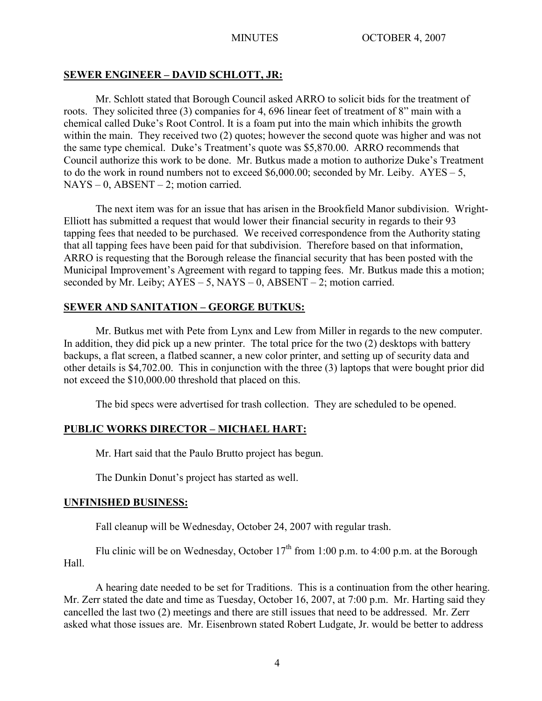## **SEWER ENGINEER – DAVID SCHLOTT, JR:**

Mr. Schlott stated that Borough Council asked ARRO to solicit bids for the treatment of roots. They solicited three (3) companies for 4, 696 linear feet of treatment of 8" main with a chemical called Duke's Root Control. It is a foam put into the main which inhibits the growth within the main. They received two (2) quotes; however the second quote was higher and was not the same type chemical. Duke's Treatment's quote was \$5,870.00. ARRO recommends that Council authorize this work to be done. Mr. Butkus made a motion to authorize Duke's Treatment to do the work in round numbers not to exceed  $$6,000.00$ ; seconded by Mr. Leiby.  $AYES - 5$ ,  $NAYS - 0$ ,  $ABSENT - 2$ ; motion carried.

The next item was for an issue that has arisen in the Brookfield Manor subdivision. Wright-Elliott has submitted a request that would lower their financial security in regards to their 93 tapping fees that needed to be purchased. We received correspondence from the Authority stating that all tapping fees have been paid for that subdivision. Therefore based on that information, ARRO is requesting that the Borough release the financial security that has been posted with the Municipal Improvement's Agreement with regard to tapping fees. Mr. Butkus made this a motion; seconded by Mr. Leiby;  $AYES - 5$ ,  $NAYS - 0$ ,  $ABSENT - 2$ ; motion carried.

## **SEWER AND SANITATION – GEORGE BUTKUS:**

Mr. Butkus met with Pete from Lynx and Lew from Miller in regards to the new computer. In addition, they did pick up a new printer. The total price for the two (2) desktops with battery backups, a flat screen, a flatbed scanner, a new color printer, and setting up of security data and other details is \$4,702.00. This in conjunction with the three (3) laptops that were bought prior did not exceed the \$10,000.00 threshold that placed on this.

The bid specs were advertised for trash collection. They are scheduled to be opened.

## **PUBLIC WORKS DIRECTOR – MICHAEL HART:**

Mr. Hart said that the Paulo Brutto project has begun.

The Dunkin Donut's project has started as well.

#### **UNFINISHED BUSINESS:**

Fall cleanup will be Wednesday, October 24, 2007 with regular trash.

Flu clinic will be on Wednesday, October  $17<sup>th</sup>$  from 1:00 p.m. to 4:00 p.m. at the Borough Hall.

A hearing date needed to be set for Traditions. This is a continuation from the other hearing. Mr. Zerr stated the date and time as Tuesday, October 16, 2007, at 7:00 p.m. Mr. Harting said they cancelled the last two (2) meetings and there are still issues that need to be addressed. Mr. Zerr asked what those issues are. Mr. Eisenbrown stated Robert Ludgate, Jr. would be better to address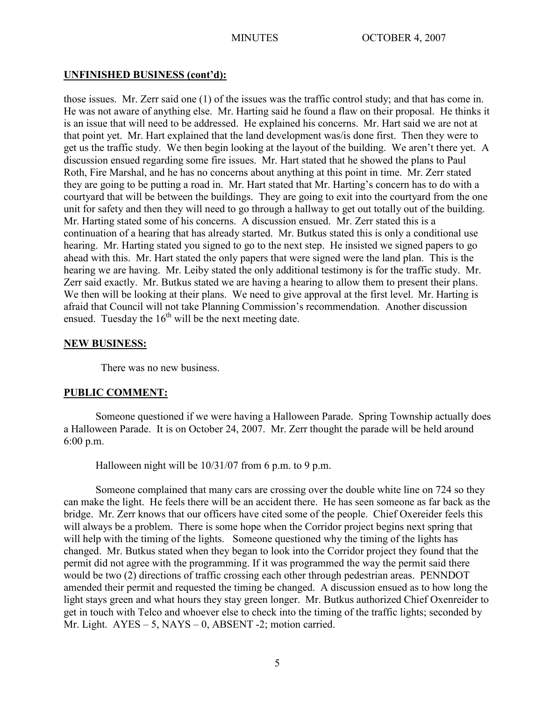## **UNFINISHED BUSINESS (cont'd):**

those issues. Mr. Zerr said one (1) of the issues was the traffic control study; and that has come in. He was not aware of anything else. Mr. Harting said he found a flaw on their proposal. He thinks it is an issue that will need to be addressed. He explained his concerns. Mr. Hart said we are not at that point yet. Mr. Hart explained that the land development was/is done first. Then they were to get us the traffic study. We then begin looking at the layout of the building. We aren't there yet. A discussion ensued regarding some fire issues. Mr. Hart stated that he showed the plans to Paul Roth, Fire Marshal, and he has no concerns about anything at this point in time. Mr. Zerr stated they are going to be putting a road in. Mr. Hart stated that Mr. Harting's concern has to do with a courtyard that will be between the buildings. They are going to exit into the courtyard from the one unit for safety and then they will need to go through a hallway to get out totally out of the building. Mr. Harting stated some of his concerns. A discussion ensued. Mr. Zerr stated this is a continuation of a hearing that has already started. Mr. Butkus stated this is only a conditional use hearing. Mr. Harting stated you signed to go to the next step. He insisted we signed papers to go ahead with this. Mr. Hart stated the only papers that were signed were the land plan. This is the hearing we are having. Mr. Leiby stated the only additional testimony is for the traffic study. Mr. Zerr said exactly. Mr. Butkus stated we are having a hearing to allow them to present their plans. We then will be looking at their plans. We need to give approval at the first level. Mr. Harting is afraid that Council will not take Planning Commission's recommendation. Another discussion ensued. Tuesday the  $16<sup>th</sup>$  will be the next meeting date.

#### **NEW BUSINESS:**

There was no new business.

## **PUBLIC COMMENT:**

Someone questioned if we were having a Halloween Parade. Spring Township actually does a Halloween Parade. It is on October 24, 2007. Mr. Zerr thought the parade will be held around 6:00 p.m.

Halloween night will be  $10/31/07$  from 6 p.m. to 9 p.m.

Someone complained that many cars are crossing over the double white line on 724 so they can make the light. He feels there will be an accident there. He has seen someone as far back as the bridge. Mr. Zerr knows that our officers have cited some of the people. Chief Oxereider feels this will always be a problem. There is some hope when the Corridor project begins next spring that will help with the timing of the lights. Someone questioned why the timing of the lights has changed. Mr. Butkus stated when they began to look into the Corridor project they found that the permit did not agree with the programming. If it was programmed the way the permit said there would be two (2) directions of traffic crossing each other through pedestrian areas. PENNDOT amended their permit and requested the timing be changed. A discussion ensued as to how long the light stays green and what hours they stay green longer. Mr. Butkus authorized Chief Oxenreider to get in touch with Telco and whoever else to check into the timing of the traffic lights; seconded by Mr. Light. AYES – 5, NAYS – 0, ABSENT -2; motion carried.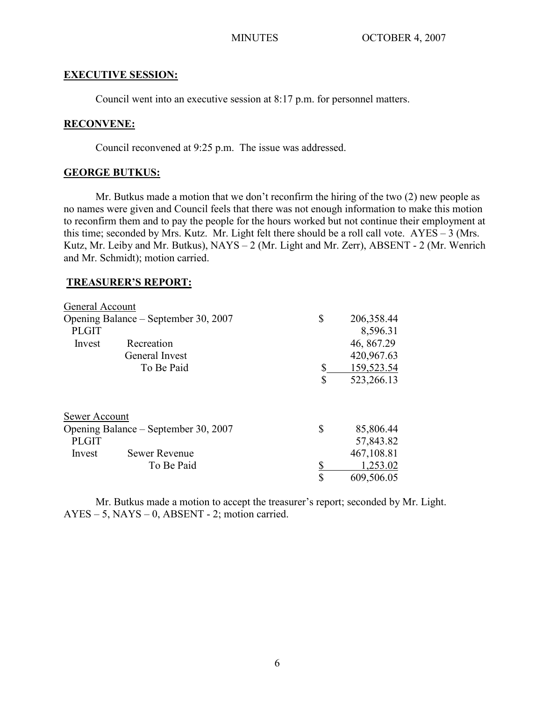### **EXECUTIVE SESSION:**

Council went into an executive session at 8:17 p.m. for personnel matters.

### **RECONVENE:**

Council reconvened at 9:25 p.m. The issue was addressed.

#### **GEORGE BUTKUS:**

Mr. Butkus made a motion that we don't reconfirm the hiring of the two (2) new people as no names were given and Council feels that there was not enough information to make this motion to reconfirm them and to pay the people for the hours worked but not continue their employment at this time; seconded by Mrs. Kutz. Mr. Light felt there should be a roll call vote.  $AYES - 3$  (Mrs. Kutz, Mr. Leiby and Mr. Butkus), NAYS – 2 (Mr. Light and Mr. Zerr), ABSENT - 2 (Mr. Wenrich and Mr. Schmidt); motion carried.

#### **TREASURER'S REPORT:**

| General Account                      |                      |                  |
|--------------------------------------|----------------------|------------------|
| Opening Balance – September 30, 2007 |                      | \$<br>206,358.44 |
| <b>PLGIT</b>                         |                      | 8,596.31         |
| Invest                               | Recreation           | 46, 867.29       |
|                                      | General Invest       | 420,967.63       |
|                                      | To Be Paid           | \$<br>159,523.54 |
|                                      |                      | \$<br>523,266.13 |
| Sewer Account                        |                      |                  |
| Opening Balance – September 30, 2007 |                      | \$<br>85,806.44  |
| <b>PLGIT</b>                         |                      | 57,843.82        |
| Invest                               | <b>Sewer Revenue</b> | 467,108.81       |
|                                      | To Be Paid           | \$<br>1,253.02   |
|                                      |                      | \$<br>609,506.05 |

Mr. Butkus made a motion to accept the treasurer's report; seconded by Mr. Light.  $AYES - 5$ ,  $NAYS - 0$ ,  $ABSENT - 2$ ; motion carried.